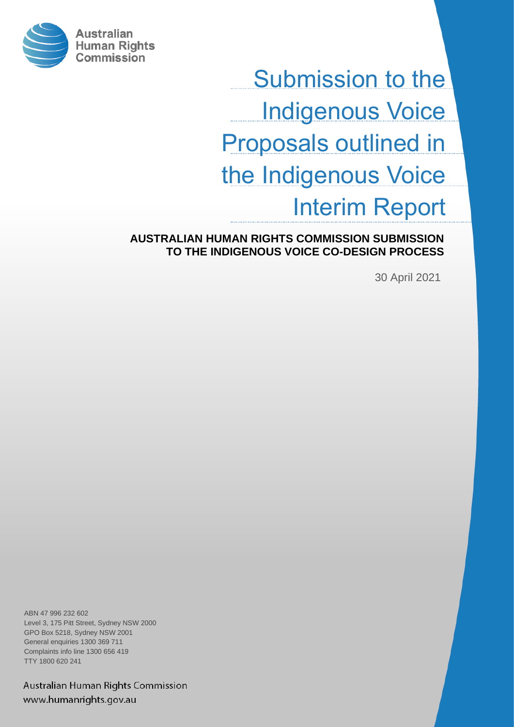

Submission to the Indigenous Voice Proposals outlined in the Indigenous Voice Interim Report

**AUSTRALIAN HUMAN RIGHTS COMMISSION SUBMISSION TO THE INDIGENOUS VOICE CO-DESIGN PROCESS**

30 April 2021

ABN 47 996 232 602 Level 3, 175 Pitt Street, Sydney NSW 2000 GPO Box 5218, Sydney NSW 2001 General enquiries 1300 369 711 Complaints info line 1300 656 419 TTY 1800 620 241

Australian Human Rights Commission www.humanrights.gov.au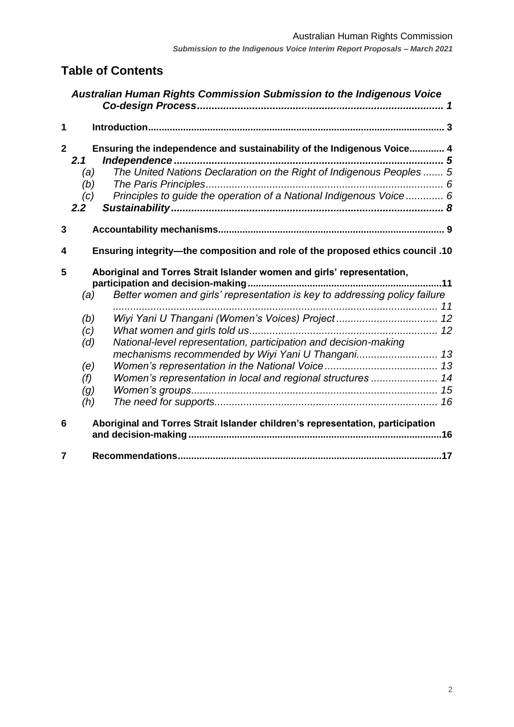# **Table of Contents**

|             |                                                                                                                                                             | Australian Human Rights Commission Submission to the Indigenous Voice                                                                                                                                                 |
|-------------|-------------------------------------------------------------------------------------------------------------------------------------------------------------|-----------------------------------------------------------------------------------------------------------------------------------------------------------------------------------------------------------------------|
| $\mathbf 1$ |                                                                                                                                                             |                                                                                                                                                                                                                       |
|             | $\mathbf{2}$<br>2.1<br>(a)<br>(b)<br>(c)<br>2.2 <sub>2</sub>                                                                                                | Ensuring the independence and sustainability of the Indigenous Voice 4<br>The United Nations Declaration on the Right of Indigenous Peoples  5<br>Principles to guide the operation of a National Indigenous Voice  6 |
| 3           |                                                                                                                                                             |                                                                                                                                                                                                                       |
| 4           | Ensuring integrity-the composition and role of the proposed ethics council .10                                                                              |                                                                                                                                                                                                                       |
| 5           | Aboriginal and Torres Strait Islander women and girls' representation,<br>Better women and girls' representation is key to addressing policy failure<br>(a) |                                                                                                                                                                                                                       |
|             | (b)<br>(c)<br>(d)                                                                                                                                           | Wiyi Yani U Thangani (Women's Voices) Project  12<br>National-level representation, participation and decision-making                                                                                                 |
|             | (e)<br>(f)<br>(g)<br>(h)                                                                                                                                    | mechanisms recommended by Wiyi Yani U Thangani 13<br>Women's representation in local and regional structures  14                                                                                                      |
| 6           | Aboriginal and Torres Strait Islander children's representation, participation                                                                              |                                                                                                                                                                                                                       |
| 7           |                                                                                                                                                             |                                                                                                                                                                                                                       |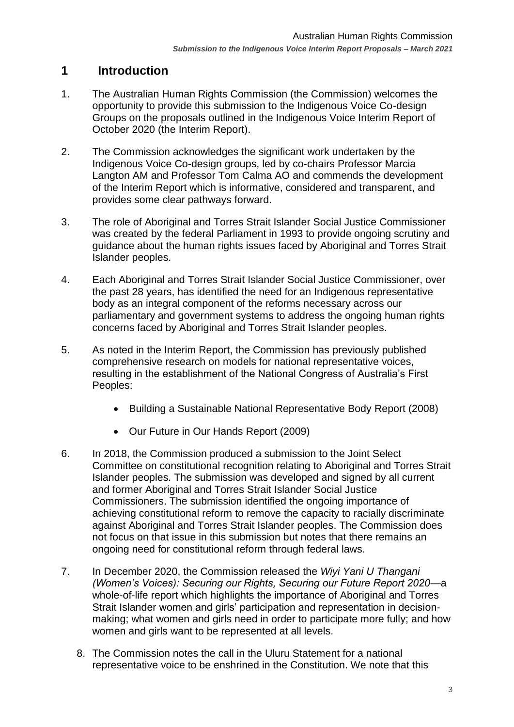## <span id="page-2-0"></span>**1 Introduction**

- 1. The Australian Human Rights Commission (the Commission) welcomes the opportunity to provide this submission to the Indigenous Voice Co-design Groups on the proposals outlined in the Indigenous Voice Interim Report of October 2020 (the Interim Report).
- 2. The Commission acknowledges the significant work undertaken by the Indigenous Voice Co-design groups, led by co-chairs Professor Marcia Langton AM and Professor Tom Calma AO and commends the development of the Interim Report which is informative, considered and transparent, and provides some clear pathways forward.
- 3. The role of Aboriginal and Torres Strait Islander Social Justice Commissioner was created by the federal Parliament in 1993 to provide ongoing scrutiny and guidance about the human rights issues faced by Aboriginal and Torres Strait Islander peoples.
- 4. Each Aboriginal and Torres Strait Islander Social Justice Commissioner, over the past 28 years, has identified the need for an Indigenous representative body as an integral component of the reforms necessary across our parliamentary and government systems to address the ongoing human rights concerns faced by Aboriginal and Torres Strait Islander peoples.
- 5. As noted in the Interim Report, the Commission has previously published comprehensive research on models for national representative voices, resulting in the establishment of the National Congress of Australia's First Peoples:
	- Building a Sustainable National Representative Body Report (2008)
	- Our Future in Our Hands Report (2009)
- 6. In 2018, the Commission produced a submission to the Joint Select Committee on constitutional recognition relating to Aboriginal and Torres Strait Islander peoples. The submission was developed and signed by all current and former Aboriginal and Torres Strait Islander Social Justice Commissioners. The submission identified the ongoing importance of achieving constitutional reform to remove the capacity to racially discriminate against Aboriginal and Torres Strait Islander peoples. The Commission does not focus on that issue in this submission but notes that there remains an ongoing need for constitutional reform through federal laws.
- 7. In December 2020, the Commission released the *Wiyi Yani U Thangani (Women's Voices): Securing our Rights, Securing our Future Report 2020*—a whole-of-life report which highlights the importance of Aboriginal and Torres Strait Islander women and girls' participation and representation in decisionmaking; what women and girls need in order to participate more fully; and how women and girls want to be represented at all levels.
	- 8. The Commission notes the call in the Uluru Statement for a national representative voice to be enshrined in the Constitution. We note that this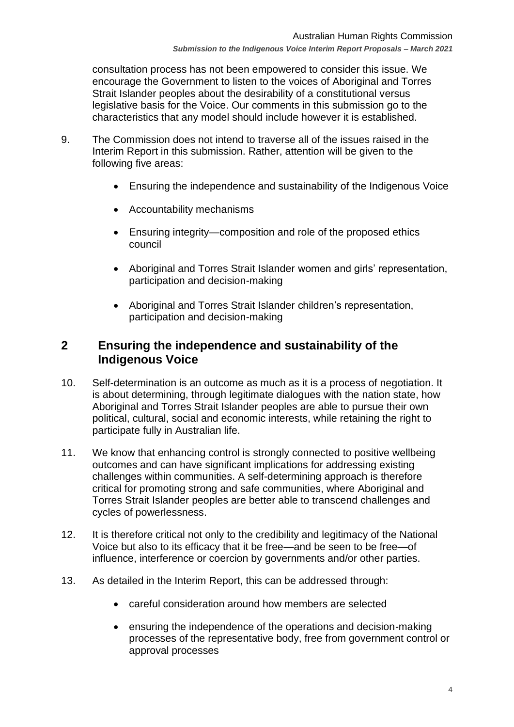consultation process has not been empowered to consider this issue. We encourage the Government to listen to the voices of Aboriginal and Torres Strait Islander peoples about the desirability of a constitutional versus legislative basis for the Voice. Our comments in this submission go to the characteristics that any model should include however it is established.

- 9. The Commission does not intend to traverse all of the issues raised in the Interim Report in this submission. Rather, attention will be given to the following five areas:
	- Ensuring the independence and sustainability of the Indigenous Voice
	- Accountability mechanisms
	- Ensuring integrity—composition and role of the proposed ethics council
	- Aboriginal and Torres Strait Islander women and girls' representation, participation and decision-making
	- Aboriginal and Torres Strait Islander children's representation, participation and decision-making

### <span id="page-3-0"></span>**2 Ensuring the independence and sustainability of the Indigenous Voice**

- 10. Self-determination is an outcome as much as it is a process of negotiation. It is about determining, through legitimate dialogues with the nation state, how Aboriginal and Torres Strait Islander peoples are able to pursue their own political, cultural, social and economic interests, while retaining the right to participate fully in Australian life.
- 11. We know that enhancing control is strongly connected to positive wellbeing outcomes and can have significant implications for addressing existing challenges within communities. A self-determining approach is therefore critical for promoting strong and safe communities, where Aboriginal and Torres Strait Islander peoples are better able to transcend challenges and cycles of powerlessness.
- 12. It is therefore critical not only to the credibility and legitimacy of the National Voice but also to its efficacy that it be free—and be seen to be free—of influence, interference or coercion by governments and/or other parties.
- 13. As detailed in the Interim Report, this can be addressed through:
	- careful consideration around how members are selected
	- ensuring the independence of the operations and decision-making processes of the representative body, free from government control or approval processes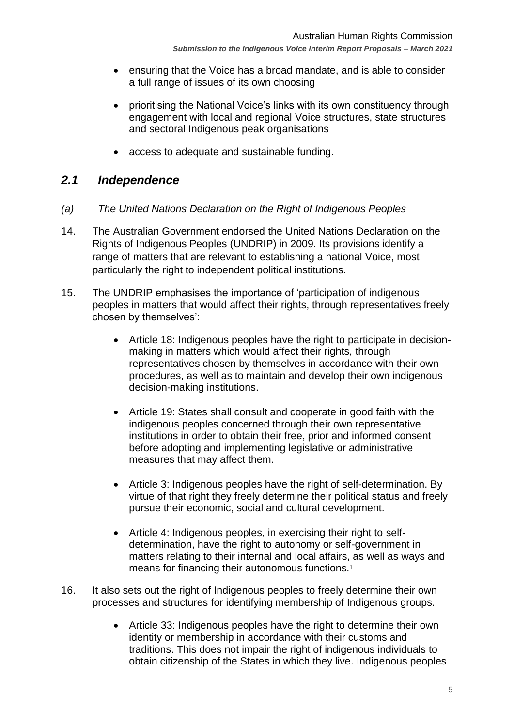- ensuring that the Voice has a broad mandate, and is able to consider a full range of issues of its own choosing
- prioritising the National Voice's links with its own constituency through engagement with local and regional Voice structures, state structures and sectoral Indigenous peak organisations
- access to adequate and sustainable funding.

### <span id="page-4-0"></span>*2.1 Independence*

- <span id="page-4-1"></span>*(a) The United Nations Declaration on the Right of Indigenous Peoples*
- 14. The Australian Government endorsed the United Nations Declaration on the Rights of Indigenous Peoples (UNDRIP) in 2009. Its provisions identify a range of matters that are relevant to establishing a national Voice, most particularly the right to independent political institutions.
- 15. The UNDRIP emphasises the importance of 'participation of indigenous peoples in matters that would affect their rights, through representatives freely chosen by themselves':
	- Article 18: Indigenous peoples have the right to participate in decisionmaking in matters which would affect their rights, through representatives chosen by themselves in accordance with their own procedures, as well as to maintain and develop their own indigenous decision-making institutions.
	- Article 19: States shall consult and cooperate in good faith with the indigenous peoples concerned through their own representative institutions in order to obtain their free, prior and informed consent before adopting and implementing legislative or administrative measures that may affect them.
	- Article 3: Indigenous peoples have the right of self-determination. By virtue of that right they freely determine their political status and freely pursue their economic, social and cultural development.
	- Article 4: Indigenous peoples, in exercising their right to selfdetermination, have the right to autonomy or self-government in matters relating to their internal and local affairs, as well as ways and means for financing their autonomous functions.<sup>1</sup>
- 16. It also sets out the right of Indigenous peoples to freely determine their own processes and structures for identifying membership of Indigenous groups.
	- Article 33: Indigenous peoples have the right to determine their own identity or membership in accordance with their customs and traditions. This does not impair the right of indigenous individuals to obtain citizenship of the States in which they live. Indigenous peoples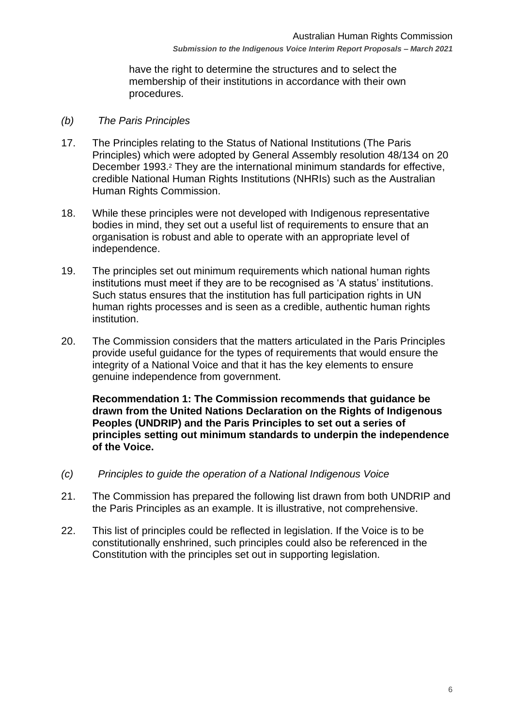have the right to determine the structures and to select the membership of their institutions in accordance with their own procedures.

#### <span id="page-5-0"></span>*(b) The Paris Principles*

- 17. The Principles relating to the Status of National Institutions (The Paris Principles) which were adopted by General Assembly resolution 48/134 on 20 December 1993.<sup>2</sup> They are the international minimum standards for effective, credible National Human Rights Institutions (NHRIs) such as the Australian Human Rights Commission.
- 18. While these principles were not developed with Indigenous representative bodies in mind, they set out a useful list of requirements to ensure that an organisation is robust and able to operate with an appropriate level of independence.
- 19. The principles set out minimum requirements which national human rights institutions must meet if they are to be recognised as 'A status' institutions. Such status ensures that the institution has full participation rights in UN human rights processes and is seen as a credible, authentic human rights institution.
- 20. The Commission considers that the matters articulated in the Paris Principles provide useful guidance for the types of requirements that would ensure the integrity of a National Voice and that it has the key elements to ensure genuine independence from government.

**Recommendation 1: The Commission recommends that guidance be drawn from the United Nations Declaration on the Rights of Indigenous Peoples (UNDRIP) and the Paris Principles to set out a series of principles setting out minimum standards to underpin the independence of the Voice.** 

- <span id="page-5-1"></span>*(c) Principles to guide the operation of a National Indigenous Voice*
- 21. The Commission has prepared the following list drawn from both UNDRIP and the Paris Principles as an example. It is illustrative, not comprehensive.
- 22. This list of principles could be reflected in legislation. If the Voice is to be constitutionally enshrined, such principles could also be referenced in the Constitution with the principles set out in supporting legislation.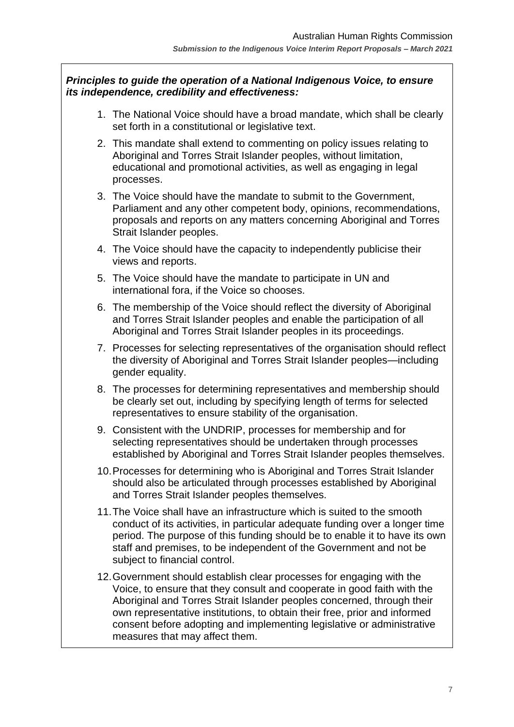#### *Principles to guide the operation of a National Indigenous Voice, to ensure its independence, credibility and effectiveness:*

- 1. The National Voice should have a broad mandate, which shall be clearly set forth in a constitutional or legislative text.
- 2. This mandate shall extend to commenting on policy issues relating to Aboriginal and Torres Strait Islander peoples, without limitation, educational and promotional activities, as well as engaging in legal processes.
- 3. The Voice should have the mandate to submit to the Government, Parliament and any other competent body, opinions, recommendations, proposals and reports on any matters concerning Aboriginal and Torres Strait Islander peoples.
- 4. The Voice should have the capacity to independently publicise their views and reports.
- 5. The Voice should have the mandate to participate in UN and international fora, if the Voice so chooses.
- 6. The membership of the Voice should reflect the diversity of Aboriginal and Torres Strait Islander peoples and enable the participation of all Aboriginal and Torres Strait Islander peoples in its proceedings.
- 7. Processes for selecting representatives of the organisation should reflect the diversity of Aboriginal and Torres Strait Islander peoples—including gender equality.
- 8. The processes for determining representatives and membership should be clearly set out, including by specifying length of terms for selected representatives to ensure stability of the organisation.
- 9. Consistent with the UNDRIP, processes for membership and for selecting representatives should be undertaken through processes established by Aboriginal and Torres Strait Islander peoples themselves.
- 10.Processes for determining who is Aboriginal and Torres Strait Islander should also be articulated through processes established by Aboriginal and Torres Strait Islander peoples themselves.
- 11.The Voice shall have an infrastructure which is suited to the smooth conduct of its activities, in particular adequate funding over a longer time period. The purpose of this funding should be to enable it to have its own staff and premises, to be independent of the Government and not be subject to financial control.
- 12.Government should establish clear processes for engaging with the Voice, to ensure that they consult and cooperate in good faith with the Aboriginal and Torres Strait Islander peoples concerned, through their own representative institutions, to obtain their free, prior and informed consent before adopting and implementing legislative or administrative measures that may affect them.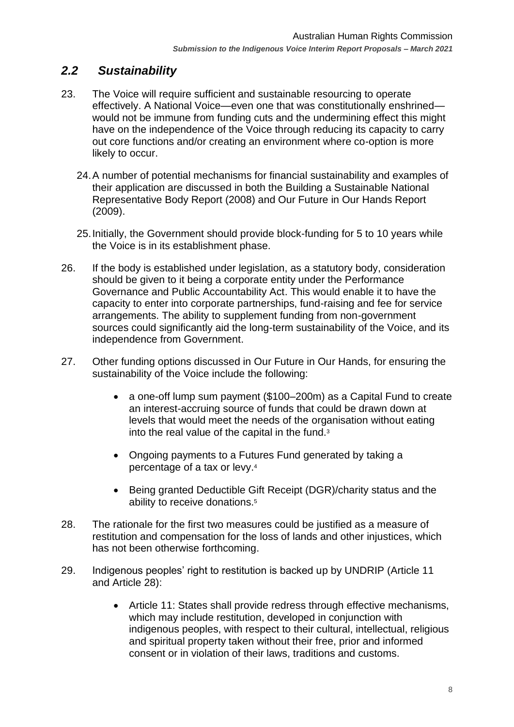# <span id="page-7-0"></span>*2.2 Sustainability*

- 23. The Voice will require sufficient and sustainable resourcing to operate effectively. A National Voice—even one that was constitutionally enshrined would not be immune from funding cuts and the undermining effect this might have on the independence of the Voice through reducing its capacity to carry out core functions and/or creating an environment where co-option is more likely to occur.
	- 24.A number of potential mechanisms for financial sustainability and examples of their application are discussed in both the Building a Sustainable National Representative Body Report (2008) and Our Future in Our Hands Report (2009).
	- 25.Initially, the Government should provide block-funding for 5 to 10 years while the Voice is in its establishment phase.
- 26. If the body is established under legislation, as a statutory body, consideration should be given to it being a corporate entity under the Performance Governance and Public Accountability Act. This would enable it to have the capacity to enter into corporate partnerships, fund-raising and fee for service arrangements. The ability to supplement funding from non-government sources could significantly aid the long-term sustainability of the Voice, and its independence from Government.
- 27. Other funding options discussed in Our Future in Our Hands, for ensuring the sustainability of the Voice include the following:
	- a one-off lump sum payment (\$100–200m) as a Capital Fund to create an interest-accruing source of funds that could be drawn down at levels that would meet the needs of the organisation without eating into the real value of the capital in the fund.<sup>3</sup>
	- Ongoing payments to a Futures Fund generated by taking a percentage of a tax or levy.<sup>4</sup>
	- Being granted Deductible Gift Receipt (DGR)/charity status and the ability to receive donations.<sup>5</sup>
- 28. The rationale for the first two measures could be justified as a measure of restitution and compensation for the loss of lands and other injustices, which has not been otherwise forthcoming.
- 29. Indigenous peoples' right to restitution is backed up by UNDRIP (Article 11 and Article 28):
	- Article 11: States shall provide redress through effective mechanisms, which may include restitution, developed in conjunction with indigenous peoples, with respect to their cultural, intellectual, religious and spiritual property taken without their free, prior and informed consent or in violation of their laws, traditions and customs.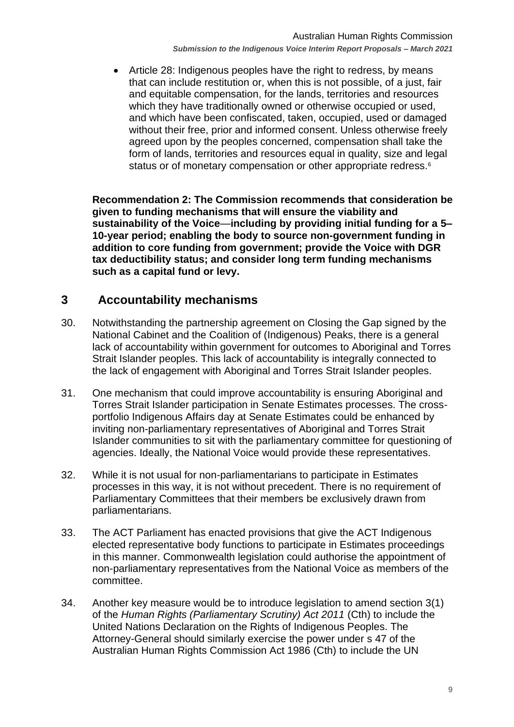Article 28: Indigenous peoples have the right to redress, by means that can include restitution or, when this is not possible, of a just, fair and equitable compensation, for the lands, territories and resources which they have traditionally owned or otherwise occupied or used, and which have been confiscated, taken, occupied, used or damaged without their free, prior and informed consent. Unless otherwise freely agreed upon by the peoples concerned, compensation shall take the form of lands, territories and resources equal in quality, size and legal status or of monetary compensation or other appropriate redress.<sup>6</sup>

**Recommendation 2: The Commission recommends that consideration be given to funding mechanisms that will ensure the viability and sustainability of the Voice**—**including by providing initial funding for a 5– 10-year period; enabling the body to source non-government funding in addition to core funding from government; provide the Voice with DGR tax deductibility status; and consider long term funding mechanisms such as a capital fund or levy.**

### <span id="page-8-0"></span>**3 Accountability mechanisms**

- 30. Notwithstanding the partnership agreement on Closing the Gap signed by the National Cabinet and the Coalition of (Indigenous) Peaks, there is a general lack of accountability within government for outcomes to Aboriginal and Torres Strait Islander peoples. This lack of accountability is integrally connected to the lack of engagement with Aboriginal and Torres Strait Islander peoples.
- 31. One mechanism that could improve accountability is ensuring Aboriginal and Torres Strait Islander participation in Senate Estimates processes. The crossportfolio Indigenous Affairs day at Senate Estimates could be enhanced by inviting non-parliamentary representatives of Aboriginal and Torres Strait Islander communities to sit with the parliamentary committee for questioning of agencies. Ideally, the National Voice would provide these representatives.
- 32. While it is not usual for non-parliamentarians to participate in Estimates processes in this way, it is not without precedent. There is no requirement of Parliamentary Committees that their members be exclusively drawn from parliamentarians.
- 33. The ACT Parliament has enacted provisions that give the ACT Indigenous elected representative body functions to participate in Estimates proceedings in this manner. Commonwealth legislation could authorise the appointment of non-parliamentary representatives from the National Voice as members of the committee.
- 34. Another key measure would be to introduce legislation to amend section 3(1) of the *Human Rights (Parliamentary Scrutiny) Act 2011* (Cth) to include the United Nations Declaration on the Rights of Indigenous Peoples. The Attorney-General should similarly exercise the power under s 47 of the Australian Human Rights Commission Act 1986 (Cth) to include the UN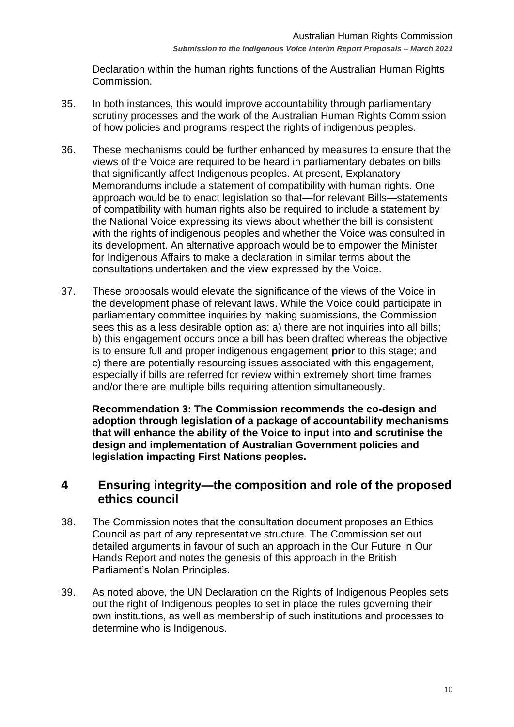Declaration within the human rights functions of the Australian Human Rights Commission.

- 35. In both instances, this would improve accountability through parliamentary scrutiny processes and the work of the Australian Human Rights Commission of how policies and programs respect the rights of indigenous peoples.
- 36. These mechanisms could be further enhanced by measures to ensure that the views of the Voice are required to be heard in parliamentary debates on bills that significantly affect Indigenous peoples. At present, Explanatory Memorandums include a statement of compatibility with human rights. One approach would be to enact legislation so that—for relevant Bills—statements of compatibility with human rights also be required to include a statement by the National Voice expressing its views about whether the bill is consistent with the rights of indigenous peoples and whether the Voice was consulted in its development. An alternative approach would be to empower the Minister for Indigenous Affairs to make a declaration in similar terms about the consultations undertaken and the view expressed by the Voice.
- 37. These proposals would elevate the significance of the views of the Voice in the development phase of relevant laws. While the Voice could participate in parliamentary committee inquiries by making submissions, the Commission sees this as a less desirable option as: a) there are not inquiries into all bills: b) this engagement occurs once a bill has been drafted whereas the objective is to ensure full and proper indigenous engagement **prior** to this stage; and c) there are potentially resourcing issues associated with this engagement, especially if bills are referred for review within extremely short time frames and/or there are multiple bills requiring attention simultaneously.

**Recommendation 3: The Commission recommends the co-design and adoption through legislation of a package of accountability mechanisms that will enhance the ability of the Voice to input into and scrutinise the design and implementation of Australian Government policies and legislation impacting First Nations peoples.**

### <span id="page-9-0"></span>**4 Ensuring integrity—the composition and role of the proposed ethics council**

- 38. The Commission notes that the consultation document proposes an Ethics Council as part of any representative structure. The Commission set out detailed arguments in favour of such an approach in the Our Future in Our Hands Report and notes the genesis of this approach in the British Parliament's Nolan Principles.
- 39. As noted above, the UN Declaration on the Rights of Indigenous Peoples sets out the right of Indigenous peoples to set in place the rules governing their own institutions, as well as membership of such institutions and processes to determine who is Indigenous.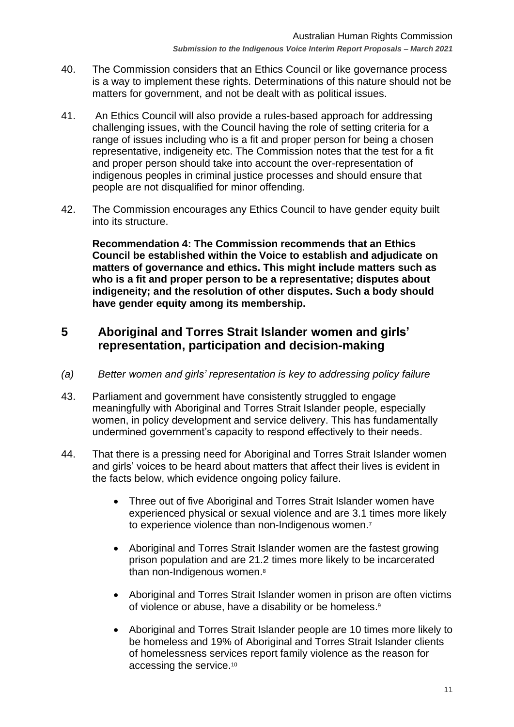- 40. The Commission considers that an Ethics Council or like governance process is a way to implement these rights. Determinations of this nature should not be matters for government, and not be dealt with as political issues.
- 41. An Ethics Council will also provide a rules-based approach for addressing challenging issues, with the Council having the role of setting criteria for a range of issues including who is a fit and proper person for being a chosen representative, indigeneity etc. The Commission notes that the test for a fit and proper person should take into account the over-representation of indigenous peoples in criminal justice processes and should ensure that people are not disqualified for minor offending.
- 42. The Commission encourages any Ethics Council to have gender equity built into its structure.

**Recommendation 4: The Commission recommends that an Ethics Council be established within the Voice to establish and adjudicate on matters of governance and ethics. This might include matters such as who is a fit and proper person to be a representative; disputes about indigeneity; and the resolution of other disputes. Such a body should have gender equity among its membership.**

### <span id="page-10-0"></span>**5 Aboriginal and Torres Strait Islander women and girls' representation, participation and decision-making**

- <span id="page-10-1"></span>*(a) Better women and girls' representation is key to addressing policy failure*
- 43. Parliament and government have consistently struggled to engage meaningfully with Aboriginal and Torres Strait Islander people, especially women, in policy development and service delivery. This has fundamentally undermined government's capacity to respond effectively to their needs.
- 44. That there is a pressing need for Aboriginal and Torres Strait Islander women and girls' voices to be heard about matters that affect their lives is evident in the facts below, which evidence ongoing policy failure.
	- Three out of five Aboriginal and Torres Strait Islander women have experienced physical or sexual violence and are 3.1 times more likely to experience violence than non-Indigenous women.<sup>7</sup>
	- Aboriginal and Torres Strait Islander women are the fastest growing prison population and are 21.2 times more likely to be incarcerated than non-Indigenous women. 8
	- Aboriginal and Torres Strait Islander women in prison are often victims of violence or abuse, have a disability or be homeless.<sup>9</sup>
	- Aboriginal and Torres Strait Islander people are 10 times more likely to be homeless and 19% of Aboriginal and Torres Strait Islander clients of homelessness services report family violence as the reason for accessing the service. 10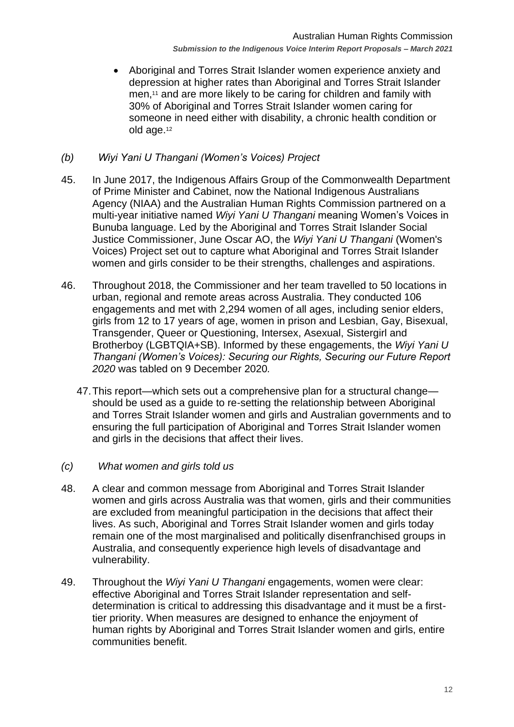• Aboriginal and Torres Strait Islander women experience anxiety and depression at higher rates than Aboriginal and Torres Strait Islander men, <sup>11</sup> and are more likely to be caring for children and family with 30% of Aboriginal and Torres Strait Islander women caring for someone in need either with disability, a chronic health condition or old age.<sup>12</sup>

#### <span id="page-11-0"></span>*(b) Wiyi Yani U Thangani (Women's Voices) Project*

- 45. In June 2017, the Indigenous Affairs Group of the Commonwealth Department of Prime Minister and Cabinet, now the National Indigenous Australians Agency (NIAA) and the Australian Human Rights Commission partnered on a multi-year initiative named *Wiyi Yani U Thangani* meaning Women's Voices in Bunuba language. Led by the Aboriginal and Torres Strait Islander Social Justice Commissioner, June Oscar AO, the *Wiyi Yani U Thangani* (Women's Voices) Project set out to capture what Aboriginal and Torres Strait Islander women and girls consider to be their strengths, challenges and aspirations.
- 46. Throughout 2018, the Commissioner and her team travelled to 50 locations in urban, regional and remote areas across Australia. They conducted 106 engagements and met with 2,294 women of all ages, including senior elders, girls from 12 to 17 years of age, women in prison and Lesbian, Gay, Bisexual, Transgender, Queer or Questioning, Intersex, Asexual, Sistergirl and Brotherboy (LGBTQIA+SB). Informed by these engagements, the *Wiyi Yani U Thangani (Women's Voices): Securing our Rights, Securing our Future Report 2020* was tabled on 9 December 2020*.*
	- 47.This report—which sets out a comprehensive plan for a structural change should be used as a guide to re-setting the relationship between Aboriginal and Torres Strait Islander women and girls and Australian governments and to ensuring the full participation of Aboriginal and Torres Strait Islander women and girls in the decisions that affect their lives.
- <span id="page-11-1"></span>*(c) What women and girls told us*
- 48. A clear and common message from Aboriginal and Torres Strait Islander women and girls across Australia was that women, girls and their communities are excluded from meaningful participation in the decisions that affect their lives. As such, Aboriginal and Torres Strait Islander women and girls today remain one of the most marginalised and politically disenfranchised groups in Australia, and consequently experience high levels of disadvantage and vulnerability.
- 49. Throughout the *Wiyi Yani U Thangani* engagements, women were clear: effective Aboriginal and Torres Strait Islander representation and selfdetermination is critical to addressing this disadvantage and it must be a firsttier priority. When measures are designed to enhance the enjoyment of human rights by Aboriginal and Torres Strait Islander women and girls, entire communities benefit.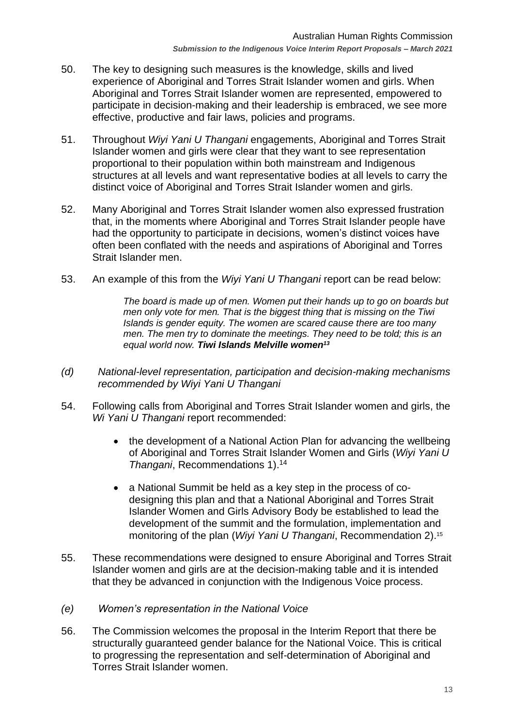- 50. The key to designing such measures is the knowledge, skills and lived experience of Aboriginal and Torres Strait Islander women and girls. When Aboriginal and Torres Strait Islander women are represented, empowered to participate in decision-making and their leadership is embraced, we see more effective, productive and fair laws, policies and programs.
- 51. Throughout *Wiyi Yani U Thangani* engagements, Aboriginal and Torres Strait Islander women and girls were clear that they want to see representation proportional to their population within both mainstream and Indigenous structures at all levels and want representative bodies at all levels to carry the distinct voice of Aboriginal and Torres Strait Islander women and girls.
- 52. Many Aboriginal and Torres Strait Islander women also expressed frustration that, in the moments where Aboriginal and Torres Strait Islander people have had the opportunity to participate in decisions, women's distinct voices have often been conflated with the needs and aspirations of Aboriginal and Torres Strait Islander men.
- 53. An example of this from the *Wiyi Yani U Thangani* report can be read below:

*The board is made up of men. Women put their hands up to go on boards but men only vote for men. That is the biggest thing that is missing on the Tiwi Islands is gender equity. The women are scared cause there are too many men. The men try to dominate the meetings. They need to be told; this is an equal world now. Tiwi Islands Melville women<sup>13</sup>*

- <span id="page-12-0"></span>*(d) National-level representation, participation and decision-making mechanisms recommended by Wiyi Yani U Thangani*
- 54. Following calls from Aboriginal and Torres Strait Islander women and girls, the *Wi Yani U Thangani* report recommended:
	- the development of a National Action Plan for advancing the wellbeing of Aboriginal and Torres Strait Islander Women and Girls (*Wiyi Yani U Thangani*, Recommendations 1). 14
	- a National Summit be held as a key step in the process of codesigning this plan and that a National Aboriginal and Torres Strait Islander Women and Girls Advisory Body be established to lead the development of the summit and the formulation, implementation and monitoring of the plan (*Wiyi Yani U Thangani*, Recommendation 2). 15
- 55. These recommendations were designed to ensure Aboriginal and Torres Strait Islander women and girls are at the decision-making table and it is intended that they be advanced in conjunction with the Indigenous Voice process.
- <span id="page-12-1"></span>*(e) Women's representation in the National Voice*
- 56. The Commission welcomes the proposal in the Interim Report that there be structurally guaranteed gender balance for the National Voice. This is critical to progressing the representation and self-determination of Aboriginal and Torres Strait Islander women.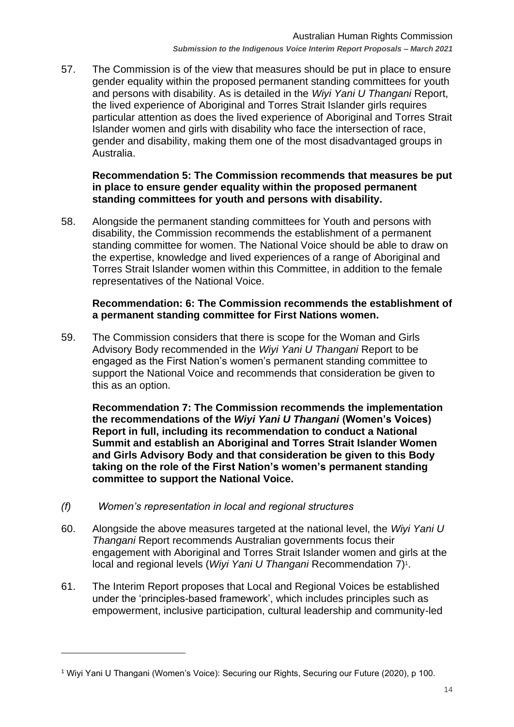57. The Commission is of the view that measures should be put in place to ensure gender equality within the proposed permanent standing committees for youth and persons with disability. As is detailed in the *Wiyi Yani U Thangani* Report, the lived experience of Aboriginal and Torres Strait Islander girls requires particular attention as does the lived experience of Aboriginal and Torres Strait Islander women and girls with disability who face the intersection of race, gender and disability, making them one of the most disadvantaged groups in Australia.

#### **Recommendation 5: The Commission recommends that measures be put in place to ensure gender equality within the proposed permanent standing committees for youth and persons with disability.**

58. Alongside the permanent standing committees for Youth and persons with disability, the Commission recommends the establishment of a permanent standing committee for women. The National Voice should be able to draw on the expertise, knowledge and lived experiences of a range of Aboriginal and Torres Strait Islander women within this Committee, in addition to the female representatives of the National Voice.

#### **Recommendation: 6: The Commission recommends the establishment of a permanent standing committee for First Nations women.**

59. The Commission considers that there is scope for the Woman and Girls Advisory Body recommended in the *Wiyi Yani U Thangani* Report to be engaged as the First Nation's women's permanent standing committee to support the National Voice and recommends that consideration be given to this as an option.

**Recommendation 7: The Commission recommends the implementation the recommendations of the** *Wiyi Yani U Thangani* **(Women's Voices) Report in full, including its recommendation to conduct a National Summit and establish an Aboriginal and Torres Strait Islander Women and Girls Advisory Body and that consideration be given to this Body taking on the role of the First Nation's women's permanent standing committee to support the National Voice.**

- <span id="page-13-0"></span>*(f) Women's representation in local and regional structures*
- 60. Alongside the above measures targeted at the national level, the *Wiyi Yani U Thangani* Report recommends Australian governments focus their engagement with Aboriginal and Torres Strait Islander women and girls at the local and regional levels (Wiyi Yani U Thangani Recommendation 7)<sup>1</sup>.
- 61. The Interim Report proposes that Local and Regional Voices be established under the 'principles-based framework', which includes principles such as empowerment, inclusive participation, cultural leadership and community-led

<sup>1</sup> Wiyi Yani U Thangani (Women's Voice): Securing our Rights, Securing our Future (2020), p 100.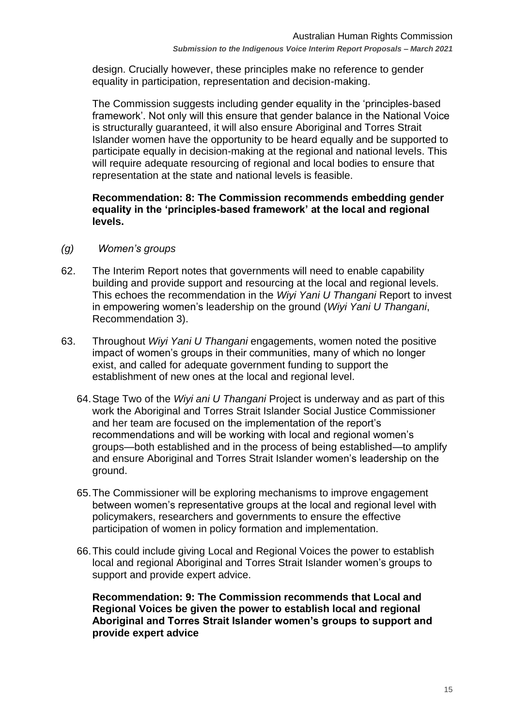design. Crucially however, these principles make no reference to gender equality in participation, representation and decision-making.

The Commission suggests including gender equality in the 'principles-based framework'. Not only will this ensure that gender balance in the National Voice is structurally guaranteed, it will also ensure Aboriginal and Torres Strait Islander women have the opportunity to be heard equally and be supported to participate equally in decision-making at the regional and national levels. This will require adequate resourcing of regional and local bodies to ensure that representation at the state and national levels is feasible.

#### **Recommendation: 8: The Commission recommends embedding gender equality in the 'principles-based framework' at the local and regional levels.**

- <span id="page-14-0"></span>*(g) Women's groups*
- 62. The Interim Report notes that governments will need to enable capability building and provide support and resourcing at the local and regional levels. This echoes the recommendation in the *Wiyi Yani U Thangani* Report to invest in empowering women's leadership on the ground (*Wiyi Yani U Thangani*, Recommendation 3).
- 63. Throughout *Wiyi Yani U Thangani* engagements, women noted the positive impact of women's groups in their communities, many of which no longer exist, and called for adequate government funding to support the establishment of new ones at the local and regional level.
	- 64.Stage Two of the *Wiyi ani U Thangani* Project is underway and as part of this work the Aboriginal and Torres Strait Islander Social Justice Commissioner and her team are focused on the implementation of the report's recommendations and will be working with local and regional women's groups—both established and in the process of being established—to amplify and ensure Aboriginal and Torres Strait Islander women's leadership on the ground.
	- 65.The Commissioner will be exploring mechanisms to improve engagement between women's representative groups at the local and regional level with policymakers, researchers and governments to ensure the effective participation of women in policy formation and implementation.
	- 66.This could include giving Local and Regional Voices the power to establish local and regional Aboriginal and Torres Strait Islander women's groups to support and provide expert advice.

**Recommendation: 9: The Commission recommends that Local and Regional Voices be given the power to establish local and regional Aboriginal and Torres Strait Islander women's groups to support and provide expert advice**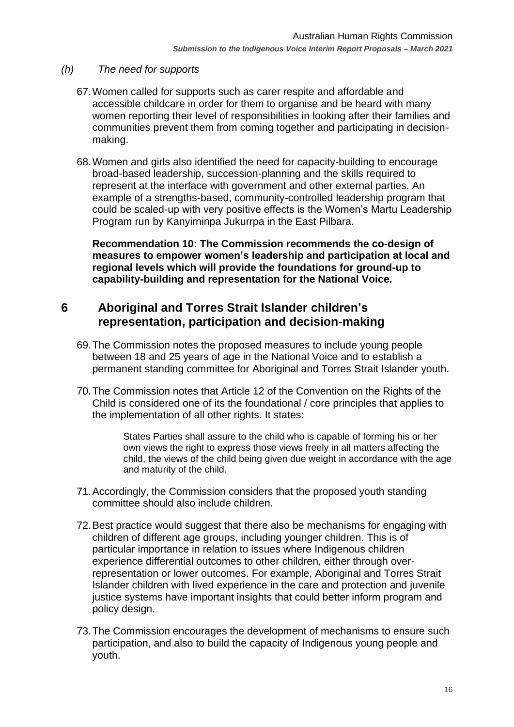#### <span id="page-15-0"></span>*(h) The need for supports*

- 67.Women called for supports such as carer respite and affordable and accessible childcare in order for them to organise and be heard with many women reporting their level of responsibilities in looking after their families and communities prevent them from coming together and participating in decisionmaking.
- 68.Women and girls also identified the need for capacity-building to encourage broad-based leadership, succession-planning and the skills required to represent at the interface with government and other external parties. An example of a strengths-based, community-controlled leadership program that could be scaled-up with very positive effects is the Women's Martu Leadership Program run by Kanyirninpa Jukurrpa in the East Pilbara.

**Recommendation 10: The Commission recommends the co-design of measures to empower women's leadership and participation at local and regional levels which will provide the foundations for ground-up to capability-building and representation for the National Voice.**

### <span id="page-15-1"></span>**6 Aboriginal and Torres Strait Islander children's representation, participation and decision-making**

- 69.The Commission notes the proposed measures to include young people between 18 and 25 years of age in the National Voice and to establish a permanent standing committee for Aboriginal and Torres Strait Islander youth.
- 70.The Commission notes that Article 12 of the Convention on the Rights of the Child is considered one of its the foundational / core principles that applies to the implementation of all other rights. It states:

States Parties shall assure to the child who is capable of forming his or her own views the right to express those views freely in all matters affecting the child, the views of the child being given due weight in accordance with the age and maturity of the child.

- 71.Accordingly, the Commission considers that the proposed youth standing committee should also include children.
- 72.Best practice would suggest that there also be mechanisms for engaging with children of different age groups, including younger children. This is of particular importance in relation to issues where Indigenous children experience differential outcomes to other children, either through overrepresentation or lower outcomes. For example, Aboriginal and Torres Strait Islander children with lived experience in the care and protection and juvenile justice systems have important insights that could better inform program and policy design.
- 73.The Commission encourages the development of mechanisms to ensure such participation, and also to build the capacity of Indigenous young people and youth.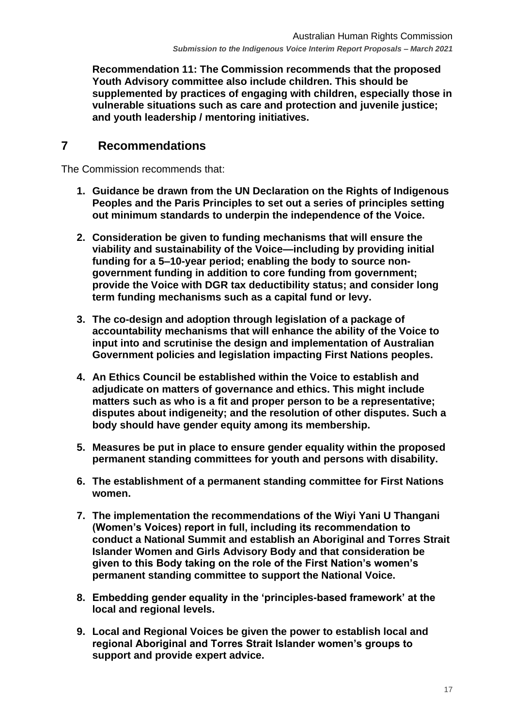**Recommendation 11: The Commission recommends that the proposed Youth Advisory committee also include children. This should be supplemented by practices of engaging with children, especially those in vulnerable situations such as care and protection and juvenile justice; and youth leadership / mentoring initiatives.**

### <span id="page-16-0"></span>**7 Recommendations**

The Commission recommends that:

- **1. Guidance be drawn from the UN Declaration on the Rights of Indigenous Peoples and the Paris Principles to set out a series of principles setting out minimum standards to underpin the independence of the Voice.**
- **2. Consideration be given to funding mechanisms that will ensure the viability and sustainability of the Voice—including by providing initial funding for a 5–10-year period; enabling the body to source nongovernment funding in addition to core funding from government; provide the Voice with DGR tax deductibility status; and consider long term funding mechanisms such as a capital fund or levy.**
- **3. The co-design and adoption through legislation of a package of accountability mechanisms that will enhance the ability of the Voice to input into and scrutinise the design and implementation of Australian Government policies and legislation impacting First Nations peoples.**
- **4. An Ethics Council be established within the Voice to establish and adjudicate on matters of governance and ethics. This might include matters such as who is a fit and proper person to be a representative; disputes about indigeneity; and the resolution of other disputes. Such a body should have gender equity among its membership.**
- **5. Measures be put in place to ensure gender equality within the proposed permanent standing committees for youth and persons with disability.**
- **6. The establishment of a permanent standing committee for First Nations women.**
- **7. The implementation the recommendations of the Wiyi Yani U Thangani (Women's Voices) report in full, including its recommendation to conduct a National Summit and establish an Aboriginal and Torres Strait Islander Women and Girls Advisory Body and that consideration be given to this Body taking on the role of the First Nation's women's permanent standing committee to support the National Voice.**
- **8. Embedding gender equality in the 'principles-based framework' at the local and regional levels.**
- **9. Local and Regional Voices be given the power to establish local and regional Aboriginal and Torres Strait Islander women's groups to support and provide expert advice.**